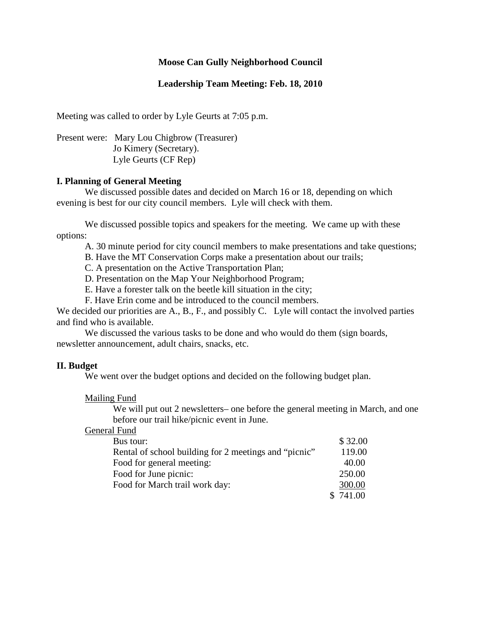# **Moose Can Gully Neighborhood Council**

# **Leadership Team Meeting: Feb. 18, 2010**

Meeting was called to order by Lyle Geurts at 7:05 p.m.

Present were: Mary Lou Chigbrow (Treasurer) Jo Kimery (Secretary). Lyle Geurts (CF Rep)

### **I. Planning of General Meeting**

We discussed possible dates and decided on March 16 or 18, depending on which evening is best for our city council members. Lyle will check with them.

We discussed possible topics and speakers for the meeting. We came up with these options:

A. 30 minute period for city council members to make presentations and take questions;

B. Have the MT Conservation Corps make a presentation about our trails;

C. A presentation on the Active Transportation Plan;

D. Presentation on the Map Your Neighborhood Program;

E. Have a forester talk on the beetle kill situation in the city;

F. Have Erin come and be introduced to the council members.

We decided our priorities are A., B., F., and possibly C. Lyle will contact the involved parties and find who is available.

We discussed the various tasks to be done and who would do them (sign boards, newsletter announcement, adult chairs, snacks, etc.

#### **II. Budget**

We went over the budget options and decided on the following budget plan.

Mailing Fund

We will put out 2 newsletters– one before the general meeting in March, and one before our trail hike/picnic event in June.

#### General Fund

| Bus tour:                                             | \$32.00 |
|-------------------------------------------------------|---------|
| Rental of school building for 2 meetings and "picnic" | 119.00  |
| Food for general meeting:                             | 40.00   |
| Food for June picnic:                                 | 250.00  |
| Food for March trail work day:                        | 300.00  |
|                                                       | 741.00  |